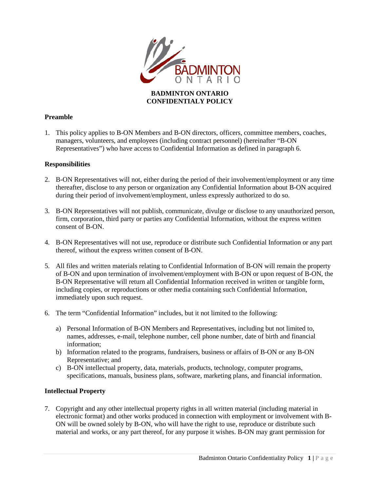

### **BADMINTON ONTARIO CONFIDENTIALY POLICY**

# **Preamble**

1. This policy applies to B-ON Members and B-ON directors, officers, committee members, coaches, managers, volunteers, and employees (including contract personnel) (hereinafter "B-ON Representatives") who have access to Confidential Information as defined in paragraph 6.

#### **Responsibilities**

- 2. B-ON Representatives will not, either during the period of their involvement/employment or any time thereafter, disclose to any person or organization any Confidential Information about B-ON acquired during their period of involvement/employment, unless expressly authorized to do so.
- 3. B-ON Representatives will not publish, communicate, divulge or disclose to any unauthorized person, firm, corporation, third party or parties any Confidential Information, without the express written consent of B-ON.
- 4. B-ON Representatives will not use, reproduce or distribute such Confidential Information or any part thereof, without the express written consent of B-ON.
- 5. All files and written materials relating to Confidential Information of B-ON will remain the property of B-ON and upon termination of involvement/employment with B-ON or upon request of B-ON, the B-ON Representative will return all Confidential Information received in written or tangible form, including copies, or reproductions or other media containing such Confidential Information, immediately upon such request.
- 6. The term "Confidential Information" includes, but it not limited to the following:
	- a) Personal Information of B-ON Members and Representatives, including but not limited to, names, addresses, e-mail, telephone number, cell phone number, date of birth and financial information;
	- b) Information related to the programs, fundraisers, business or affairs of B-ON or any B-ON Representative; and
	- c) B-ON intellectual property, data, materials, products, technology, computer programs, specifications, manuals, business plans, software, marketing plans, and financial information.

#### **Intellectual Property**

7. Copyright and any other intellectual property rights in all written material (including material in electronic format) and other works produced in connection with employment or involvement with B-ON will be owned solely by B-ON, who will have the right to use, reproduce or distribute such material and works, or any part thereof, for any purpose it wishes. B-ON may grant permission for